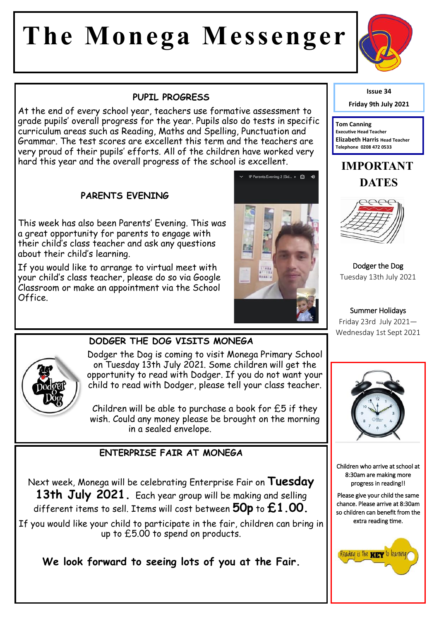# **The Monega Messenger**



At the end of every school year, teachers use formative assessment to grade pupils' overall progress for the year. Pupils also do tests in specific curriculum areas such as Reading, Maths and Spelling, Punctuation and Grammar. The test scores are excellent this term and the teachers are very proud of their pupils' efforts. All of the children have worked very hard this year and the overall progress of the school is excellent.

#### **PARENTS EVENING**

This week has also been Parents' Evening. This was a great opportunity for parents to engage with their child's class teacher and ask any questions about their child's learning.

If you would like to arrange to virtual meet with your child's class teacher, please do so via Google Classroom or make an appointment via the School Office.





**DODGER THE DOG VISITS MONEGA** 

Dodger the Dog is coming to visit Monega Primary School on Tuesday 13th July 2021. Some children will get the opportunity to read with Dodger. If you do not want your child to read with Dodger, please tell your class teacher.

Children will be able to purchase a book for £5 if they wish. Could any money please be brought on the morning in a sealed envelope.

#### **ENTERPRISE FAIR AT MONEGA**

Next week, Monega will be celebrating Enterprise Fair on **Tuesday 13th July 2021.** Each year group will be making and selling different items to sell. Items will cost between **50p** to **£1.00.** 

If you would like your child to participate in the fair, children can bring in up to £5.00 to spend on products.

**We look forward to seeing lots of you at the Fair.** 



**Friday 9th July 2021**

**Tom Canning Executive Head Teacher Elizabeth Harris Head Teacher Telephone 0208 472 0533**

### **IMPORTANT DATES**



Dodger the Dog Tuesday 13th July 2021

#### Summer Holidays Friday 23rd July 2021— Wednesday 1st Sept 2021



Children who arrive at school at 8:30am are making more progress in reading!!

Please give your child the same chance. Please arrive at 8:30am so children can benefit from the extra reading time.